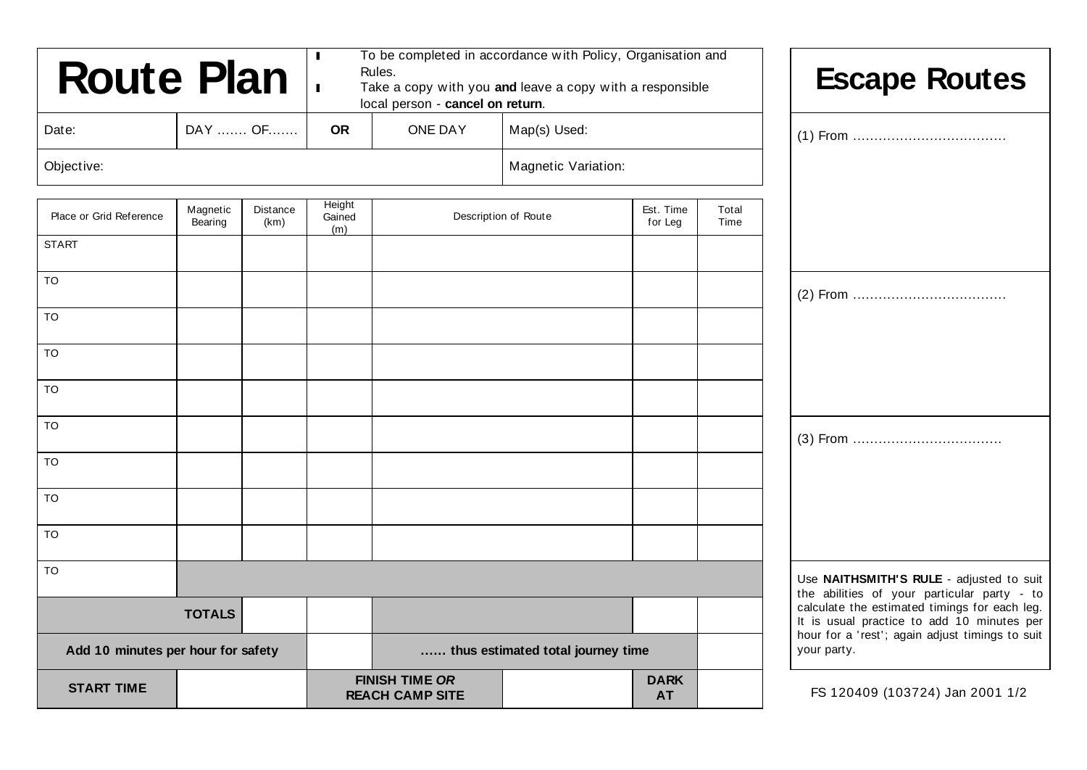| <b>Route Plan</b>                  |                     |                  | Rules.                                          | To be completed in accordance with Policy, Organisation and<br>Take a copy with you and leave a copy with a responsible<br>local person - cancel on return. |                            |                                                                                                                                                                                               |                                 | <b>Escape Routes</b>                     |
|------------------------------------|---------------------|------------------|-------------------------------------------------|-------------------------------------------------------------------------------------------------------------------------------------------------------------|----------------------------|-----------------------------------------------------------------------------------------------------------------------------------------------------------------------------------------------|---------------------------------|------------------------------------------|
| Date:                              |                     | DAY  OF          | <b>OR</b>                                       | <b>ONE DAY</b>                                                                                                                                              | Map(s) Used:               |                                                                                                                                                                                               |                                 |                                          |
| Objective:                         |                     |                  |                                                 |                                                                                                                                                             | <b>Magnetic Variation:</b> |                                                                                                                                                                                               |                                 |                                          |
| Place or Grid Reference            | Magnetic<br>Bearing | Distance<br>(km) | Height<br>Gained<br>(m)                         |                                                                                                                                                             | Description of Route       | Est. Time<br>for Leg                                                                                                                                                                          | Total<br>Time                   |                                          |
| <b>START</b>                       |                     |                  |                                                 |                                                                                                                                                             |                            |                                                                                                                                                                                               |                                 |                                          |
| <b>TO</b>                          |                     |                  |                                                 |                                                                                                                                                             |                            |                                                                                                                                                                                               |                                 |                                          |
| <b>TO</b>                          |                     |                  |                                                 |                                                                                                                                                             |                            |                                                                                                                                                                                               |                                 |                                          |
| TO                                 |                     |                  |                                                 |                                                                                                                                                             |                            |                                                                                                                                                                                               |                                 |                                          |
| <b>TO</b>                          |                     |                  |                                                 |                                                                                                                                                             |                            |                                                                                                                                                                                               |                                 |                                          |
| TO                                 |                     |                  |                                                 |                                                                                                                                                             |                            |                                                                                                                                                                                               |                                 |                                          |
| <b>TO</b>                          |                     |                  |                                                 |                                                                                                                                                             |                            |                                                                                                                                                                                               |                                 |                                          |
| TO                                 |                     |                  |                                                 |                                                                                                                                                             |                            |                                                                                                                                                                                               |                                 |                                          |
| TO                                 |                     |                  |                                                 |                                                                                                                                                             |                            |                                                                                                                                                                                               |                                 |                                          |
| <b>TO</b>                          |                     |                  |                                                 |                                                                                                                                                             |                            |                                                                                                                                                                                               |                                 | Use NAITHSMITH'S RULE - adjusted to suit |
| <b>TOTALS</b>                      |                     |                  |                                                 |                                                                                                                                                             |                            | the abilities of your particular party - to<br>calculate the estimated timings for each leg.<br>It is usual practice to add 10 minutes per<br>hour for a 'rest'; again adjust timings to suit |                                 |                                          |
| Add 10 minutes per hour for safety |                     |                  |                                                 | thus estimated total journey time                                                                                                                           |                            |                                                                                                                                                                                               | your party.                     |                                          |
| <b>START TIME</b>                  |                     |                  | <b>FINISH TIME OR</b><br><b>REACH CAMP SITE</b> |                                                                                                                                                             | <b>DARK</b><br><b>AT</b>   |                                                                                                                                                                                               | FS 120409 (103724) Jan 2001 1/2 |                                          |